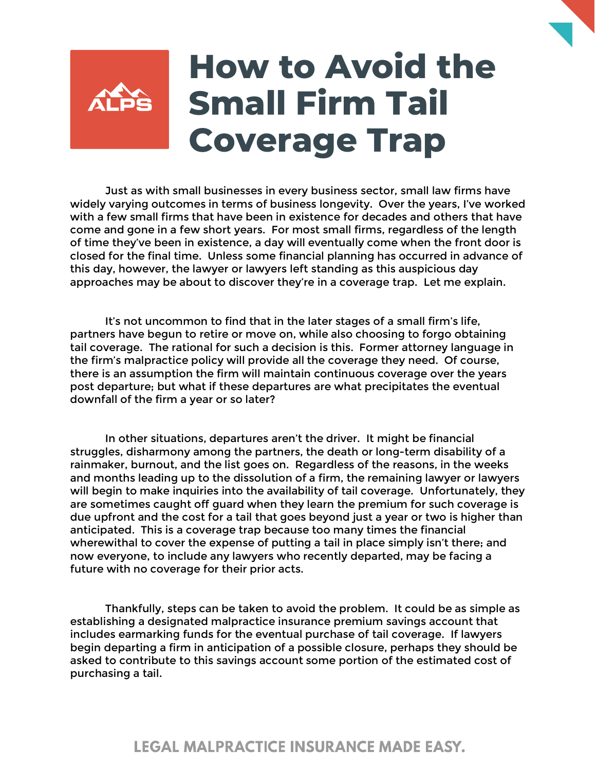

Just as with small businesses in every business sector, small law firms have widely varying outcomes in terms of business longevity. Over the years, I've worked with a few small firms that have been in existence for decades and others that have come and gone in a few short years. For most small firms, regardless of the length of time they've been in existence, a day will eventually come when the front door is closed for the final time. Unless some financial planning has occurred in advance of this day, however, the lawyer or lawyers left standing as this auspicious day approaches may be about to discover they're in a coverage trap. Let me explain.

It's not uncommon to find that in the later stages of a small firm's life, partners have begun to retire or move on, while also choosing to forgo obtaining tail coverage. The rational for such a decision is this. Former attorney language in the firm's malpractice policy will provide all the coverage they need. Of course, there is an assumption the firm will maintain continuous coverage over the years post departure; but what if these departures are what precipitates the eventual downfall of the firm a year or so later?

In other situations, departures aren't the driver. It might be financial struggles, disharmony among the partners, the death or long-term disability of a rainmaker, burnout, and the list goes on. Regardless of the reasons, in the weeks and months leading up to the dissolution of a firm, the remaining lawyer or lawyers will begin to make inquiries into the availability of tail coverage. Unfortunately, they are sometimes caught off guard when they learn the premium for such coverage is due upfront and the cost for a tail that goes beyond just a year or two is higher than anticipated. This is a coverage trap because too many times the financial wherewithal to cover the expense of putting a tail in place simply isn't there; and now everyone, to include any lawyers who recently departed, may be facing a future with no coverage for their prior acts.

Thankfully, steps can be taken to avoid the problem. It could be as simple as establishing a designated malpractice insurance premium savings account that includes earmarking funds for the eventual purchase of tail coverage. If lawyers begin departing a firm in anticipation of a possible closure, perhaps they should be asked to contribute to this savings account some portion of the estimated cost of purchasing a tail.